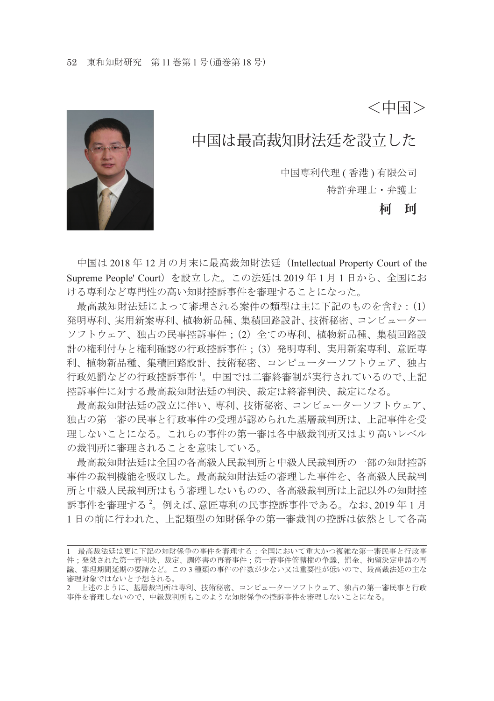<中国>



中国は最高裁知財法廷を設立した

中国専利代理 ( 香港 ) 有限公司

特許弁理士・弁護士

**柯 珂**

中国は 2018 年 12 月の月末に最高裁知財法廷(Intellectual Property Court of the Supreme People' Court)を設立した。この法廷は 2019 年 1 月 1 日から、全国にお ける専利など専門性の高い知財控訴事件を審理することになった。

 最高裁知財法廷によって審理される案件の類型は主に下記のものを含む:(1) 発明専利、実用新案専利、植物新品種、集積回路設計、技術秘密、コンピューター ソフトウェア、独占の民事控訴事件;(2)全ての専利、植物新品種、集積回路設 計の権利付与と権利確認の行政控訴事件;(3)発明専利、実用新案専利、意匠専 利、植物新品種、集積回路設計、技術秘密、コンピューターソフトウェア、独占 行政処罰などの行政控訴事件 <sup>1</sup> 。中国では二審終審制が実行されているので、上記 控訴事件に対する最高裁知財法廷の判決、裁定は終審判決、裁定になる。

 最高裁知財法廷の設立に伴い、専利、技術秘密、コンピューターソフトウェア、 独占の第一審の民事と行政事件の受理が認められた基層裁判所は、上記事件を受 理しないことになる。これらの事件の第一審は各中級裁判所又はより高いレベル の裁判所に審理されることを意味している。

 最高裁知財法廷は全国の各高級人民裁判所と中級人民裁判所の一部の知財控訴 事件の裁判機能を吸収した。最高裁知財法廷の審理した事件を、各高級人民裁判 所と中級人民裁判所はもう審理しないものの、各高級裁判所は上記以外の知財控 訴事件を審理する <sup>2</sup> 。例えば、意匠専利の民事控訴事件である。なお、2019 年 1 月 1 日の前に行われた、上記類型の知財係争の第一審裁判の控訴は依然として各高

<sup>1</sup> 最高裁法廷は更に下記の知財係争の事件を審理する:全国において重大かつ複雑な第一審民事と行政事 件;発効された第一審判決、裁定、調停書の再審事件;第一審事件管轄権の争議、罰金、拘留決定申請の再 議、審理期間延期の要請など。この 3 種類の事件の件数が少ない又は重要性が低いので、最高裁法廷の主な 審理対象ではないと予想される。

<sup>2</sup> 上述のように、基層裁判所は専利、技術秘密、コンピューターソフトウェア、独占の第一審民事と行政 事件を審理しないので、中級裁判所もこのような知財係争の控訴事件を審理しないことになる。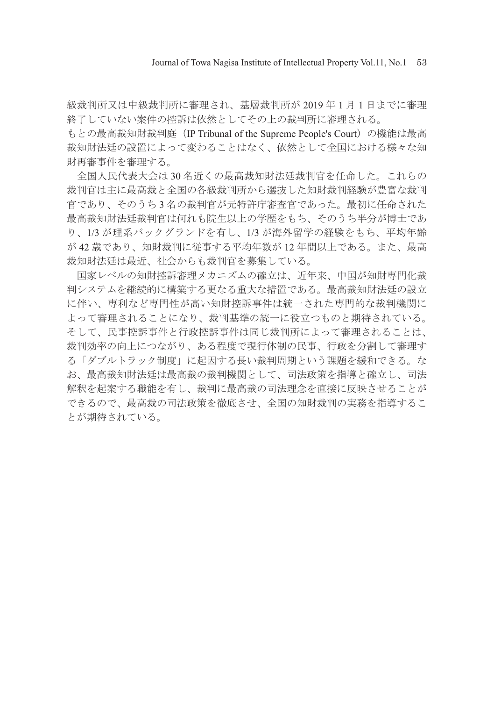級裁判所又は中級裁判所に審理され、基層裁判所が 2019 年 1 月 1 日までに審理 終了していない案件の控訴は依然としてその上の裁判所に審理される。

もとの最高裁知財裁判庭 (IP Tribunal of the Supreme People's Court) の機能は最高 裁知財法廷の設置によって変わることはなく、依然として全国における様々な知 財再審事件を審理する。

 全国人民代表大会は 30 名近くの最高裁知財法廷裁判官を任命した。これらの 裁判官は主に最高裁と全国の各級裁判所から選抜した知財裁判経験が豊富な裁判 官であり、そのうち 3 名の裁判官が元特許庁審査官であった。最初に任命された 最高裁知財法廷裁判官は何れも院生以上の学歴をもち、そのうち半分が博士であ り、1/3 が理系バックグランドを有し、1/3 が海外留学の経験をもち、平均年齢 が 42 歳であり、知財裁判に従事する平均年数が 12 年間以上である。また、最高 裁知財法廷は最近、社会からも裁判官を募集している。

 国家レベルの知財控訴審理メカニズムの確立は、近年来、中国が知財専門化裁 判システムを継続的に構築する更なる重大な措置である。最高裁知財法廷の設立 に伴い、専利など専門性が高い知財控訴事件は統一された専門的な裁判機関に よって審理されることになり、裁判基準の統一に役立つものと期待されている。 そして、民事控訴事件と行政控訴事件は同じ裁判所によって審理されることは、 裁判効率の向上につながり、ある程度で現行体制の民事、行政を分割して審理す る「ダブルトラック制度」に起因する長い裁判周期という課題を緩和できる。な お、最高裁知財法廷は最高裁の裁判機関として、司法政策を指導と確立し、司法 解釈を起案する職能を有し、裁判に最高裁の司法理念を直接に反映させることが できるので、最高裁の司法政策を徹底させ、全国の知財裁判の実務を指導するこ とが期待されている。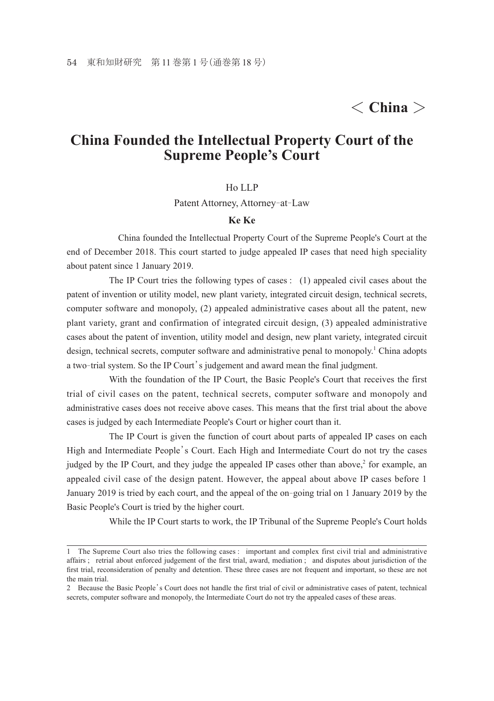## < **China** >

## **China Founded the Intellectual Property Court of the Supreme People's Court**

## Ho LLP

Patent Attorney, Attorney-at-Law

## **Ke Ke**

China founded the Intellectual Property Court of the Supreme People's Court at the end of December 2018. This court started to judge appealed IP cases that need high speciality about patent since 1 January 2019.

 The IP Court tries the following types of cases : (1) appealed civil cases about the patent of invention or utility model, new plant variety, integrated circuit design, technical secrets, computer software and monopoly, (2) appealed administrative cases about all the patent, new plant variety, grant and confirmation of integrated circuit design, (3) appealed administrative cases about the patent of invention, utility model and design, new plant variety, integrated circuit design, technical secrets, computer software and administrative penal to monopoly.<sup>1</sup> China adopts a two-trial system. So the IP Court's judgement and award mean the final judgment.

 With the foundation of the IP Court, the Basic People's Court that receives the first trial of civil cases on the patent, technical secrets, computer software and monopoly and administrative cases does not receive above cases. This means that the first trial about the above cases is judged by each Intermediate People's Court or higher court than it.

 The IP Court is given the function of court about parts of appealed IP cases on each High and Intermediate People's Court. Each High and Intermediate Court do not try the cases judged by the IP Court, and they judge the appealed IP cases other than above,<sup>2</sup> for example, an appealed civil case of the design patent. However, the appeal about above IP cases before 1 January 2019 is tried by each court, and the appeal of the on-going trial on 1 January 2019 by the Basic People's Court is tried by the higher court.

While the IP Court starts to work, the IP Tribunal of the Supreme People's Court holds

<sup>1</sup> The Supreme Court also tries the following cases : important and complex first civil trial and administrative affairs ; retrial about enforced judgement of the first trial, award, mediation ; and disputes about jurisdiction of the first trial, reconsideration of penalty and detention. These three cases are not frequent and important, so these are not the main trial.

<sup>2</sup> Because the Basic People's Court does not handle the first trial of civil or administrative cases of patent, technical secrets, computer software and monopoly, the Intermediate Court do not try the appealed cases of these areas.